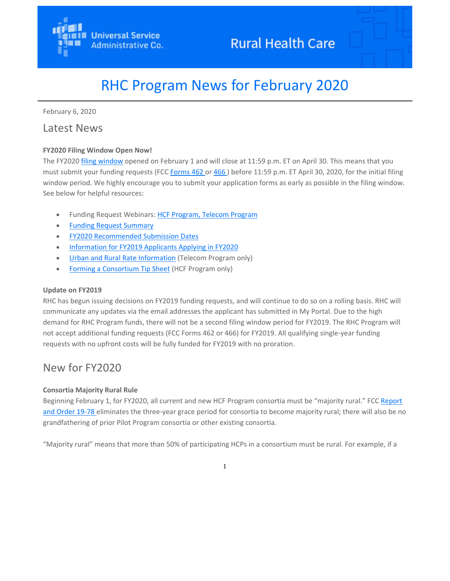

# RHC Program News for February 2020

February 6, 2020

# Latest News

# **FY2020 Filing Window Open Now!**

The FY2020 filing window opened on February 1 and will close at 11:59 p.m. ET on April 30. This means that you must submit your funding requests (FCC Forms 462 or 466) before 11:59 p.m. ET April 30, 2020, for the initial filing window period. We highly encourage you to submit your application forms as early as possible in the filing window. See below for helpful resources:

- Funding Request Webinars: HCF Program, Telecom Program
- Funding Request Summary
- FY2020 Recommended Submission Dates
- Information for FY2019 Applicants Applying in FY2020
- Urban and Rural Rate Information (Telecom Program only)
- Forming a Consortium Tip Sheet (HCF Program only)

#### **Update on FY2019**

RHC has begun issuing decisions on FY2019 funding requests, and will continue to do so on a rolling basis. RHC will communicate any updates via the email addresses the applicant has submitted in My Portal. Due to the high demand for RHC Program funds, there will not be a second filing window period for FY2019. The RHC Program will not accept additional funding requests (FCC Forms 462 or 466) for FY2019. All qualifying single‐year funding requests with no upfront costs will be fully funded for FY2019 with no proration.

# New for FY2020

#### **Consortia Majority Rural Rule**

Beginning February 1, for FY2020, all current and new HCF Program consortia must be "majority rural." FCC Report and Order 19-78 eliminates the three-year grace period for consortia to become majority rural; there will also be no grandfathering of prior Pilot Program consortia or other existing consortia.

"Majority rural" means that more than 50% of participating HCPs in a consortium must be rural. For example, if a

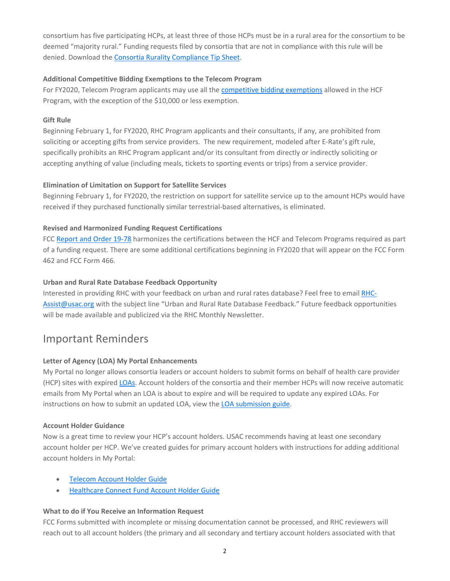consortium has five participating HCPs, at least three of those HCPs must be in a rural area for the consortium to be deemed "majority rural." Funding requests filed by consortia that are not in compliance with this rule will be denied. Download the Consortia Rurality Compliance Tip Sheet.

#### **Additional Competitive Bidding Exemptions to the Telecom Program**

For FY2020, Telecom Program applicants may use all the competitive bidding exemptions allowed in the HCF Program, with the exception of the \$10,000 or less exemption.

## **Gift Rule**

Beginning February 1, for FY2020, RHC Program applicants and their consultants, if any, are prohibited from soliciting or accepting gifts from service providers. The new requirement, modeled after E‐Rate's gift rule, specifically prohibits an RHC Program applicant and/or its consultant from directly or indirectly soliciting or accepting anything of value (including meals, tickets to sporting events or trips) from a service provider.

## **Elimination of Limitation on Support for Satellite Services**

Beginning February 1, for FY2020, the restriction on support for satellite service up to the amount HCPs would have received if they purchased functionally similar terrestrial‐based alternatives, is eliminated.

## **Revised and Harmonized Funding Request Certifications**

FCC Report and Order 19-78 harmonizes the certifications between the HCF and Telecom Programs required as part of a funding request. There are some additional certifications beginning in FY2020 that will appear on the FCC Form 462 and FCC Form 466.

## **Urban and Rural Rate Database Feedback Opportunity**

Interested in providing RHC with your feedback on urban and rural rates database? Feel free to email RHC‐ Assist@usac.org with the subject line "Urban and Rural Rate Database Feedback." Future feedback opportunities will be made available and publicized via the RHC Monthly Newsletter.

# Important Reminders

# **Letter of Agency (LOA) My Portal Enhancements**

My Portal no longer allows consortia leaders or account holders to submit forms on behalf of health care provider (HCP) sites with expired LOAs. Account holders of the consortia and their member HCPs will now receive automatic emails from My Portal when an LOA is about to expire and will be required to update any expired LOAs. For instructions on how to submit an updated LOA, view the LOA submission guide.

#### **Account Holder Guidance**

Now is a great time to review your HCP's account holders. USAC recommends having at least one secondary account holder per HCP. We've created guides for primary account holders with instructions for adding additional account holders in My Portal:

- **Telecom Account Holder Guide**
- Healthcare Connect Fund Account Holder Guide

#### **What to do if You Receive an Information Request**

FCC Forms submitted with incomplete or missing documentation cannot be processed, and RHC reviewers will reach out to all account holders (the primary and all secondary and tertiary account holders associated with that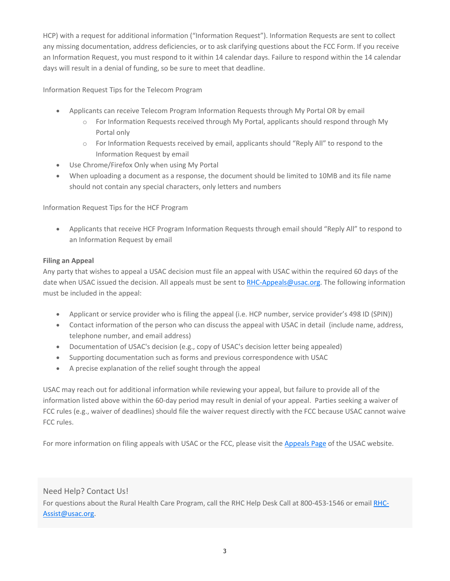HCP) with a request for additional information ("Information Request"). Information Requests are sent to collect any missing documentation, address deficiencies, or to ask clarifying questions about the FCC Form. If you receive an Information Request, you must respond to it within 14 calendar days. Failure to respond within the 14 calendar days will result in a denial of funding, so be sure to meet that deadline.

Information Request Tips for the Telecom Program

- Applicants can receive Telecom Program Information Requests through My Portal OR by email
	- o For Information Requests received through My Portal, applicants should respond through My Portal only
	- o For Information Requests received by email, applicants should "Reply All" to respond to the Information Request by email
- Use Chrome/Firefox Only when using My Portal
- When uploading a document as a response, the document should be limited to 10MB and its file name should not contain any special characters, only letters and numbers

Information Request Tips for the HCF Program

 Applicants that receive HCF Program Information Requests through email should "Reply All" to respond to an Information Request by email

#### **Filing an Appeal**

Any party that wishes to appeal a USAC decision must file an appeal with USAC within the required 60 days of the date when USAC issued the decision. All appeals must be sent to RHC-Appeals@usac.org. The following information must be included in the appeal:

- Applicant or service provider who is filing the appeal (i.e. HCP number, service provider's 498 ID (SPIN))
- Contact information of the person who can discuss the appeal with USAC in detail (include name, address, telephone number, and email address)
- Documentation of USAC's decision (e.g., copy of USAC's decision letter being appealed)
- Supporting documentation such as forms and previous correspondence with USAC
- A precise explanation of the relief sought through the appeal

USAC may reach out for additional information while reviewing your appeal, but failure to provide all of the information listed above within the 60-day period may result in denial of your appeal. Parties seeking a waiver of FCC rules (e.g., waiver of deadlines) should file the waiver request directly with the FCC because USAC cannot waive FCC rules.

For more information on filing appeals with USAC or the FCC, please visit the Appeals Page of the USAC website.

# Need Help? Contact Us!

For questions about the Rural Health Care Program, call the RHC Help Desk Call at 800-453-1546 or email RHC-Assist@usac.org.